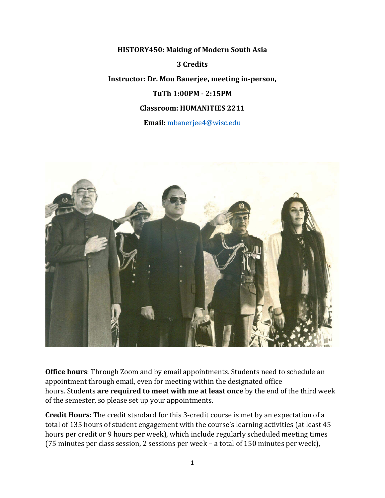**HISTORY450: Making of Modern South Asia 3 Credits Instructor: Dr. Mou Banerjee, meeting in-person, TuTh 1:00PM - 2:15PM Classroom: HUMANITIES 2211**

**Email:** [mbanerjee4@wisc.edu](mailto:mbanerjee4@wisc.edu)



**Office hours**: Through Zoom and by email appointments. Students need to schedule an appointment through email, even for meeting within the designated office hours. Students **are required to meet with me at least once** by the end of the third week of the semester, so please set up your appointments.

**Credit Hours:** The credit standard for this 3-credit course is met by an expectation of a total of 135 hours of student engagement with the course's learning activities (at least 45 hours per credit or 9 hours per week), which include regularly scheduled meeting times (75 minutes per class session, 2 sessions per week – a total of 150 minutes per week),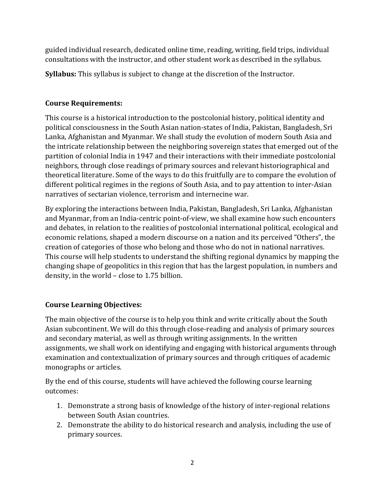guided individual research, dedicated online time, reading, writing, field trips, individual consultations with the instructor, and other student work as described in the syllabus.

**Syllabus:** This syllabus is subject to change at the discretion of the Instructor.

# **Course Requirements:**

This course is a historical introduction to the postcolonial history, political identity and political consciousness in the South Asian nation-states of India, Pakistan, Bangladesh, Sri Lanka, Afghanistan and Myanmar. We shall study the evolution of modern South Asia and the intricate relationship between the neighboring sovereign states that emerged out of the partition of colonial India in 1947 and their interactions with their immediate postcolonial neighbors, through close readings of primary sources and relevant historiographical and theoretical literature. Some of the ways to do this fruitfully are to compare the evolution of different political regimes in the regions of South Asia, and to pay attention to inter-Asian narratives of sectarian violence, terrorism and internecine war.

By exploring the interactions between India, Pakistan, Bangladesh, Sri Lanka, Afghanistan and Myanmar, from an India-centric point-of-view, we shall examine how such encounters and debates, in relation to the realities of postcolonial international political, ecological and economic relations, shaped a modern discourse on a nation and its perceived "Others", the creation of categories of those who belong and those who do not in national narratives. This course will help students to understand the shifting regional dynamics by mapping the changing shape of geopolitics in this region that has the largest population, in numbers and density, in the world – close to 1.75 billion.

# **Course Learning Objectives:**

The main objective of the course is to help you think and write critically about the South Asian subcontinent. We will do this through close-reading and analysis of primary sources and secondary material, as well as through writing assignments. In the written assignments, we shall work on identifying and engaging with historical arguments through examination and contextualization of primary sources and through critiques of academic monographs or articles.

By the end of this course, students will have achieved the following course learning outcomes:

- 1. Demonstrate a strong basis of knowledge of the history of inter-regional relations between South Asian countries.
- 2. Demonstrate the ability to do historical research and analysis, including the use of primary sources.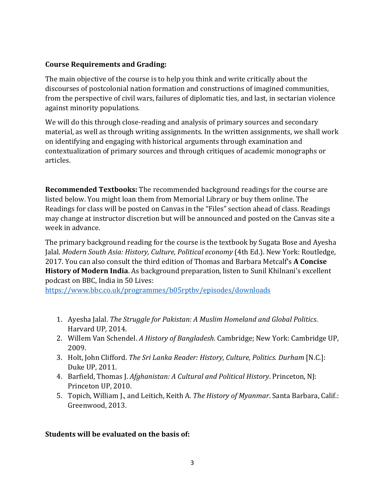#### **Course Requirements and Grading:**

The main objective of the course is to help you think and write critically about the discourses of postcolonial nation formation and constructions of imagined communities, from the perspective of civil wars, failures of diplomatic ties, and last, in sectarian violence against minority populations.

We will do this through close-reading and analysis of primary sources and secondary material, as well as through writing assignments. In the written assignments, we shall work on identifying and engaging with historical arguments through examination and contextualization of primary sources and through critiques of academic monographs or articles.

**Recommended Textbooks:** The recommended background readings for the course are listed below. You might loan them from Memorial Library or buy them online. The Readings for class will be posted on Canvas in the "Files" section ahead of class. Readings may change at instructor discretion but will be announced and posted on the Canvas site a week in advance.

The primary background reading for the course is the textbook by Sugata Bose and Ayesha Jalal. *Modern South Asia: History, Culture, Political economy* (4th Ed.). New York: Routledge, 2017. You can also consult the third edition of Thomas and Barbara Metcalf's **A Concise History of Modern India**. As background preparation, listen to Sunil Khilnani's excellent podcast on BBC, India in 50 Lives:

<https://www.bbc.co.uk/programmes/b05rptbv/episodes/downloads>

- 1. Ayesha Jalal. *The Struggle for Pakistan: A Muslim Homeland and Global Politics*. Harvard UP, 2014.
- 2. Willem Van Schendel. *A History of Bangladesh*. Cambridge; New York: Cambridge UP, 2009.
- 3. Holt, John Clifford. *The Sri Lanka Reader: History, Culture, Politics. Durham* [N.C.]: Duke UP, 2011.
- 4. Barfield, Thomas J. *Afghanistan: A Cultural and Political History*. Princeton, NJ: Princeton UP, 2010.
- 5. Topich, William J., and Leitich, Keith A. *The History of Myanmar*. Santa Barbara, Calif.: Greenwood, 2013.

# **Students will be evaluated on the basis of:**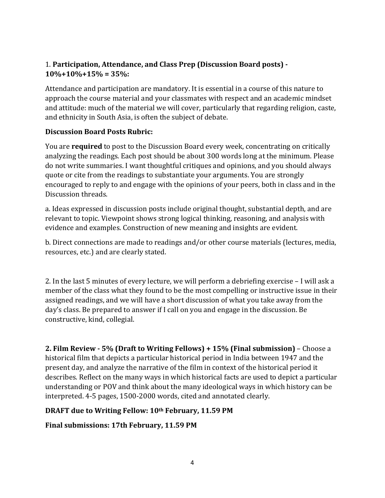# 1. **Participation, Attendance, and Class Prep (Discussion Board posts) - 10%+10%+15% = 35%:**

Attendance and participation are mandatory. It is essential in a course of this nature to approach the course material and your classmates with respect and an academic mindset and attitude: much of the material we will cover, particularly that regarding religion, caste, and ethnicity in South Asia, is often the subject of debate.

#### **Discussion Board Posts Rubric:**

You are **required** to post to the Discussion Board every week, concentrating on critically analyzing the readings. Each post should be about 300 words long at the minimum. Please do not write summaries. I want thoughtful critiques and opinions, and you should always quote or cite from the readings to substantiate your arguments. You are strongly encouraged to reply to and engage with the opinions of your peers, both in class and in the Discussion threads.

a. Ideas expressed in discussion posts include original thought, substantial depth, and are relevant to topic. Viewpoint shows strong logical thinking, reasoning, and analysis with evidence and examples. Construction of new meaning and insights are evident.

b. Direct connections are made to readings and/or other course materials (lectures, media, resources, etc.) and are clearly stated.

2. In the last 5 minutes of every lecture, we will perform a debriefing exercise – I will ask a member of the class what they found to be the most compelling or instructive issue in their assigned readings, and we will have a short discussion of what you take away from the day's class. Be prepared to answer if I call on you and engage in the discussion. Be constructive, kind, collegial.

**2. Film Review - 5% (Draft to Writing Fellows) + 15% (Final submission)** – Choose a historical film that depicts a particular historical period in India between 1947 and the present day, and analyze the narrative of the film in context of the historical period it describes. Reflect on the many ways in which historical facts are used to depict a particular understanding or POV and think about the many ideological ways in which history can be interpreted. 4-5 pages, 1500-2000 words, cited and annotated clearly.

# **DRAFT due to Writing Fellow: 10th February, 11.59 PM**

# **Final submissions: 17th February, 11.59 PM**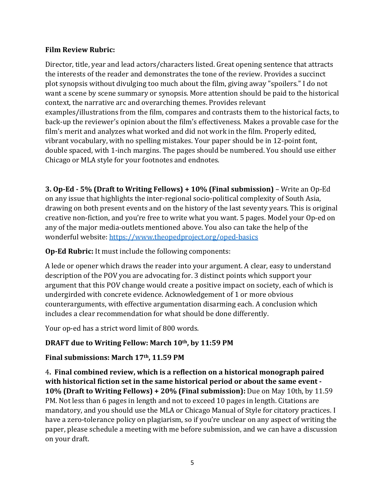#### **Film Review Rubric:**

Director, title, year and lead actors/characters listed. Great opening sentence that attracts the interests of the reader and demonstrates the tone of the review. Provides a succinct plot synopsis without divulging too much about the film, giving away "spoilers." I do not want a scene by scene summary or synopsis. More attention should be paid to the historical context, the narrative arc and overarching themes. Provides relevant examples/illustrations from the film, compares and contrasts them to the historical facts, to back-up the reviewer's opinion about the film's effectiveness. Makes a provable case for the film's merit and analyzes what worked and did not work in the film. Properly edited, vibrant vocabulary, with no spelling mistakes. Your paper should be in 12-point font, double spaced, with 1-inch margins. The pages should be numbered. You should use either Chicago or MLA style for your footnotes and endnotes.

**3. Op-Ed - 5% (Draft to Writing Fellows) + 10% (Final submission)** – Write an Op-Ed on any issue that highlights the inter-regional socio-political complexity of South Asia, drawing on both present events and on the history of the last seventy years. This is original creative non-fiction, and you're free to write what you want. 5 pages. Model your Op-ed on any of the major media-outlets mentioned above. You also can take the help of the wonderful website:<https://www.theopedproject.org/oped-basics>

# **Op-Ed Rubric:** It must include the following components:

A lede or opener which draws the reader into your argument. A clear, easy to understand description of the POV you are advocating for. 3 distinct points which support your argument that this POV change would create a positive impact on society, each of which is undergirded with concrete evidence. Acknowledgement of 1 or more obvious counterarguments, with effective argumentation disarming each. A conclusion which includes a clear recommendation for what should be done differently.

Your op-ed has a strict word limit of 800 words.

# **DRAFT due to Writing Fellow: March 10th, by 11:59 PM**

# **Final submissions: March 17th, 11.59 PM**

4**. Final combined review, which is a reflection on a historical monograph paired with historical fiction set in the same historical period or about the same event - 10% (Draft to Writing Fellows) + 20% (Final submission):** Due on May 10th, by 11.59 PM. Not less than 6 pages in length and not to exceed 10 pages in length. Citations are mandatory, and you should use the MLA or Chicago Manual of Style for citatory practices. I have a zero-tolerance policy on plagiarism, so if you're unclear on any aspect of writing the paper, please schedule a meeting with me before submission, and we can have a discussion on your draft.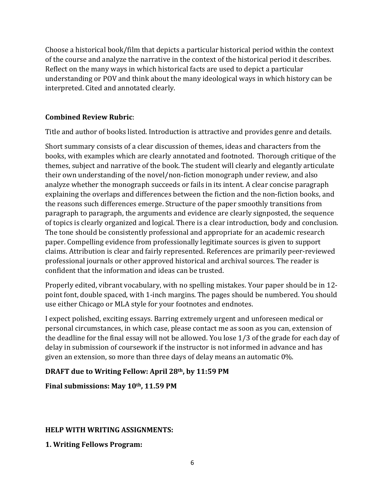Choose a historical book/film that depicts a particular historical period within the context of the course and analyze the narrative in the context of the historical period it describes. Reflect on the many ways in which historical facts are used to depict a particular understanding or POV and think about the many ideological ways in which history can be interpreted. Cited and annotated clearly.

# **Combined Review Rubric**:

Title and author of books listed. Introduction is attractive and provides genre and details.

Short summary consists of a clear discussion of themes, ideas and characters from the books, with examples which are clearly annotated and footnoted. Thorough critique of the themes, subject and narrative of the book. The student will clearly and elegantly articulate their own understanding of the novel/non-fiction monograph under review, and also analyze whether the monograph succeeds or fails in its intent. A clear concise paragraph explaining the overlaps and differences between the fiction and the non-fiction books, and the reasons such differences emerge. Structure of the paper smoothly transitions from paragraph to paragraph, the arguments and evidence are clearly signposted, the sequence of topics is clearly organized and logical. There is a clear introduction, body and conclusion. The tone should be consistently professional and appropriate for an academic research paper. Compelling evidence from professionally legitimate sources is given to support claims. Attribution is clear and fairly represented. References are primarily peer-reviewed professional journals or other approved historical and archival sources. The reader is confident that the information and ideas can be trusted.

Properly edited, vibrant vocabulary, with no spelling mistakes. Your paper should be in 12 point font, double spaced, with 1-inch margins. The pages should be numbered. You should use either Chicago or MLA style for your footnotes and endnotes.

I expect polished, exciting essays. Barring extremely urgent and unforeseen medical or personal circumstances, in which case, please contact me as soon as you can, extension of the deadline for the final essay will not be allowed. You lose 1/3 of the grade for each day of delay in submission of coursework if the instructor is not informed in advance and has given an extension, so more than three days of delay means an automatic 0%.

# **DRAFT due to Writing Fellow: April 28th, by 11:59 PM**

# **Final submissions: May 10th, 11.59 PM**

# **HELP WITH WRITING ASSIGNMENTS:**

**1. Writing Fellows Program:**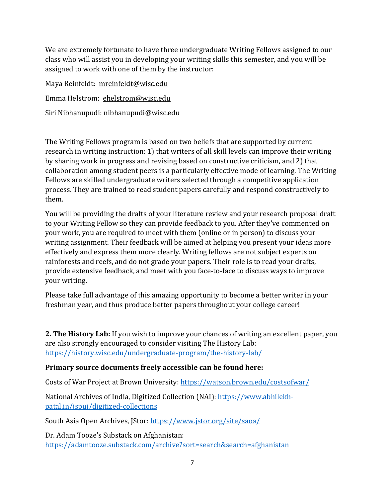We are extremely fortunate to have three undergraduate Writing Fellows assigned to our class who will assist you in developing your writing skills this semester, and you will be assigned to work with one of them by the instructor:

| Maya Reinfeldt: mreinfeldt@wisc.edu    |
|----------------------------------------|
| Emma Helstrom: ehelstrom@wisc.edu      |
| Siri Nibhanupudi: nibhanupudi@wisc.edu |

The Writing Fellows program is based on two beliefs that are supported by current research in writing instruction: 1) that writers of all skill levels can improve their writing by sharing work in progress and revising based on constructive criticism, and 2) that collaboration among student peers is a particularly effective mode of learning. The Writing Fellows are skilled undergraduate writers selected through a competitive application process. They are trained to read student papers carefully and respond constructively to them.

You will be providing the drafts of your literature review and your research proposal draft to your Writing Fellow so they can provide feedback to you. After they've commented on your work, you are required to meet with them (online or in person) to discuss your writing assignment. Their feedback will be aimed at helping you present your ideas more effectively and express them more clearly. Writing fellows are not subject experts on rainforests and reefs, and do not grade your papers. Their role is to read your drafts, provide extensive feedback, and meet with you face-to-face to discuss ways to improve your writing.

Please take full advantage of this amazing opportunity to become a better writer in your freshman year, and thus produce better papers throughout your college career!

**2. The History Lab:** If you wish to improve your chances of writing an excellent paper, you are also strongly encouraged to consider visiting The History Lab: <https://history.wisc.edu/undergraduate-program/the-history-lab/>

# **Primary source documents freely accessible can be found here:**

Costs of War Project at Brown University:<https://watson.brown.edu/costsofwar/>

National Archives of India, Digitized Collection (NAI): [https://www.abhilekh](https://www.abhilekh-patal.in/jspui/digitized-collections)[patal.in/jspui/digitized-collections](https://www.abhilekh-patal.in/jspui/digitized-collections)

South Asia Open Archives, JStor:<https://www.jstor.org/site/saoa/>

Dr. Adam Tooze's Substack on Afghanistan: <https://adamtooze.substack.com/archive?sort=search&search=afghanistan>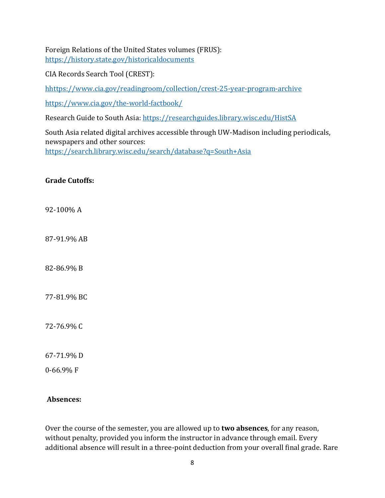Foreign Relations of the United States volumes (FRUS): <https://history.state.gov/historicaldocuments>

CIA Records Search Tool (CREST):

[hhttps://www.cia.gov/readingroom/collection/crest-25-year-program-archive](https://www.cia.gov/library/readingroom/document-type/crest)

<https://www.cia.gov/the-world-factbook/>

Research Guide to South Asia:<https://researchguides.library.wisc.edu/HistSA>

South Asia related digital archives accessible through UW-Madison including periodicals, newspapers and other sources: <https://search.library.wisc.edu/search/database?q=South+Asia>

#### **Grade Cutoffs:**

92-100% A

87-91.9% AB

82-86.9% B

77-81.9% BC

72-76.9% C

67-71.9% D

0-66.9% F

#### **Absences:**

Over the course of the semester, you are allowed up to **two absences**, for any reason, without penalty, provided you inform the instructor in advance through email. Every additional absence will result in a three-point deduction from your overall final grade. Rare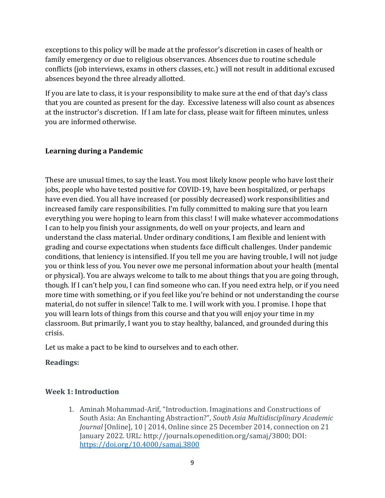exceptions to this policy will be made at the professor's discretion in cases of health or family emergency or due to religious observances. Absences due to routine schedule conflicts (job interviews, exams in others classes, etc.) will not result in additional excused absences beyond the three already allotted.

If you are late to class, it is your responsibility to make sure at the end of that day's class that you are counted as present for the day. Excessive lateness will also count as absences at the instructor's discretion. If I am late for class, please wait for fifteen minutes, unless you are informed otherwise.

# **Learning during a Pandemic**

These are unusual times, to say the least. You most likely know people who have lost their jobs, people who have tested positive for COVID-19, have been hospitalized, or perhaps have even died. You all have increased (or possibly decreased) work responsibilities and increased family care responsibilities. I'm fully committed to making sure that you learn everything you were hoping to learn from this class! I will make whatever accommodations I can to help you finish your assignments, do well on your projects, and learn and understand the class material. Under ordinary conditions, I am flexible and lenient with grading and course expectations when students face difficult challenges. Under pandemic conditions, that leniency is intensified. If you tell me you are having trouble, I will not judge you or think less of you. You never owe me personal information about your health (mental or physical). You are always welcome to talk to me about things that you are going through, though. If I can't help you, I can find someone who can. If you need extra help, or if you need more time with something, or if you feel like you're behind or not understanding the course material, do not suffer in silence! Talk to me. I will work with you. I promise. I hope that you will learn lots of things from this course and that you will enjoy your time in my classroom. But primarily, I want you to stay healthy, balanced, and grounded during this crisis.

Let us make a pact to be kind to ourselves and to each other.

# **Readings:**

# **Week 1: Introduction**

1. Aminah Mohammad-Arif, "Introduction. Imaginations and Constructions of South Asia: An Enchanting Abstraction?", *South Asia Multidisciplinary Academic Journal* [Online], 10 | 2014, Online since 25 December 2014, connection on 21 January 2022. URL: http://journals.openedition.org/samaj/3800; DOI: <https://doi.org/10.4000/samaj.3800>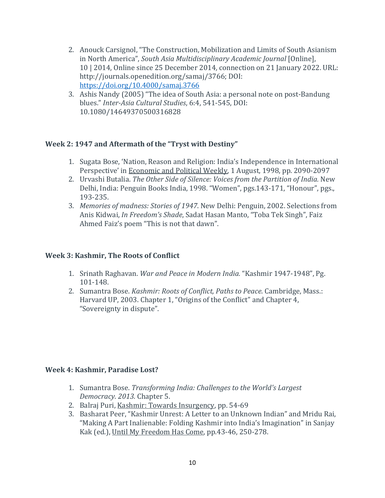- 2. Anouck Carsignol, "The Construction, Mobilization and Limits of South Asianism in North America", *South Asia Multidisciplinary Academic Journal* [Online], 10 | 2014, Online since 25 December 2014, connection on 21 January 2022. URL: http://journals.openedition.org/samaj/3766; DOI: <https://doi.org/10.4000/samaj.3766>
- 3. Ashis Nandy (2005) "The idea of South Asia: a personal note on post-Bandung blues." *Inter-Asia Cultural Studies*, 6:4, 541-545, DOI: 10.1080/14649370500316828

#### **Week 2: 1947 and Aftermath of the "Tryst with Destiny"**

- 1. Sugata Bose, 'Nation, Reason and Religion: India's Independence in International Perspective' in Economic and Political Weekly, 1 August, 1998, pp. 2090-2097
- 2. Urvashi Butalia. *The Other Side of Silence: Voices from the Partition of India.* New Delhi, India: Penguin Books India, 1998. "Women", pgs.143-171, "Honour", pgs., 193-235.
- 3. *Memories of madness: Stories of 1947*. New Delhi: Penguin, 2002. Selections from Anis Kidwai, *In Freedom's Shade*, Sadat Hasan Manto, "Toba Tek Singh", Faiz Ahmed Faiz's poem "This is not that dawn".

#### **Week 3: Kashmir, The Roots of Conflict**

- 1. Srinath Raghavan. *War and Peace in Modern India.* "Kashmir 1947-1948", Pg. 101-148.
- 2. Sumantra Bose. *Kashmir: Roots of Conflict, Paths to Peace*. Cambridge, Mass.: Harvard UP, 2003. Chapter 1, "Origins of the Conflict" and Chapter 4, "Sovereignty in dispute".

#### **Week 4: Kashmir, Paradise Lost?**

- 1. Sumantra Bose. *Transforming India: Challenges to the World's Largest Democracy. 2013.* Chapter 5.
- 2. Balraj Puri, Kashmir: Towards Insurgency, pp. 54-69
- 3. Basharat Peer, "Kashmir Unrest: A Letter to an Unknown Indian" and Mridu Rai, "Making A Part Inalienable: Folding Kashmir into India's Imagination" in Sanjay Kak (ed.), Until My Freedom Has Come, pp.43-46, 250-278.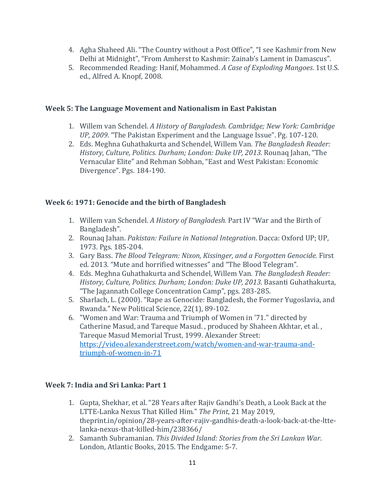- 4. Agha Shaheed Ali. "The Country without a Post Office", "I see Kashmir from New Delhi at Midnight", "From Amherst to Kashmir: Zainab's Lament in Damascus".
- 5. Recommended Reading: Hanif, Mohammed. *A Case of Exploding Mangoes*. 1st U.S. ed., Alfred A. Knopf, 2008.

#### **Week 5: The Language Movement and Nationalism in East Pakistan**

- 1. Willem van Schendel. *A History of Bangladesh. Cambridge; New York: Cambridge UP, 2009.* "The Pakistan Experiment and the Language Issue". Pg. 107-120.
- 2. Eds. Meghna Guhathakurta and Schendel, Willem Van*. The Bangladesh Reader: History, Culture, Politics. Durham; London: Duke UP, 2013.* Rounaq Jahan, "The Vernacular Elite" and Rehman Sobhan, "East and West Pakistan: Economic Divergence". Pgs. 184-190.

# **Week 6: 1971: Genocide and the birth of Bangladesh**

- 1. Willem van Schendel. *A History of Bangladesh.* Part IV "War and the Birth of Bangladesh".
- 2. Rounaq Jahan. *Pakistan: Failure in National Integration*. Dacca: Oxford UP; UP, 1973*.* Pgs. 185-204.
- 3. Gary Bass. *The Blood Telegram: Nixon, Kissinger, and a Forgotten Genocide.* First ed. 2013*.* "Mute and horrified witnesses" and "The Blood Telegram".
- 4. Eds. Meghna Guhathakurta and Schendel, Willem Van*. The Bangladesh Reader: History, Culture, Politics. Durham; London: Duke UP, 2013.* Basanti Guhathakurta, "The Jagannath College Concentration Camp", pgs. 283-285.
- 5. Sharlach, L. (2000). "Rape as Genocide: Bangladesh, the Former Yugoslavia, and Rwanda." New Political Science, 22(1), 89-102.
- 6. "Women and War: Trauma and Triumph of Women in '71." directed by Catherine Masud, and Tareque Masud. , produced by Shaheen Akhtar, et al. , Tareque Masud Memorial Trust, 1999. Alexander Street: [https://video.alexanderstreet.com/watch/women-and-war-trauma-and](https://video.alexanderstreet.com/watch/women-and-war-trauma-and-triumph-of-women-in-71)[triumph-of-women-in-71](https://video.alexanderstreet.com/watch/women-and-war-trauma-and-triumph-of-women-in-71)

# **Week 7: India and Sri Lanka: Part 1**

- 1. Gupta, Shekhar, et al. "28 Years after Rajiv Gandhi's Death, a Look Back at the LTTE-Lanka Nexus That Killed Him." *The Print*, 21 May 2019, theprint.in/opinion/28-years-after-rajiv-gandhis-death-a-look-back-at-the-lttelanka-nexus-that-killed-him/238366/
- 2. Samanth Subramanian. *This Divided Island: Stories from the Sri Lankan War*. London, Atlantic Books, 2015. The Endgame: 5-7.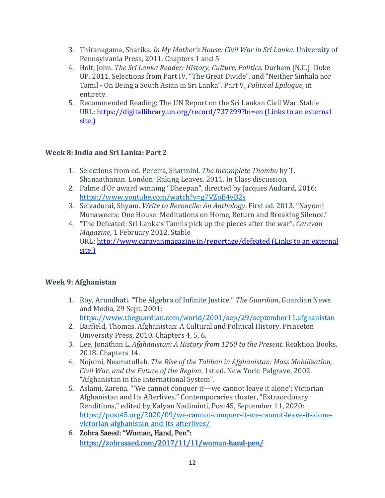- 3. Thiranagama, Sharika. *In My Mother's House: Civil War in Sri Lanka*. University of Pennsylvania Press, 2011. Chapters 1 and 5
- 4. Holt, John. *The Sri Lanka Reader: History, Culture, Politics*. Durham [N.C.]: Duke UP, 2011. Selections from Part IV, "The Great Divide", and "Neither Sinhala nor Tamil - On Being a South Asian in Sri Lanka". Part V, *Political Epilogue,* in entirety.
- 5. Recommended Reading: The UN Report on the Sri Lankan Civil War. Stable URL: <https://digitallibrary.un.org/record/737299?ln=en> (Links to an external [site.\)](https://digitallibrary.un.org/record/737299?ln=en)

# **Week 8: India and Sri Lanka: Part 2**

- 1. Selections from ed. Pereira, Sharmini. *The Incomplete Thombu* by T. Shanaathanan. London: Raking Leaves, 2011. In Class discussion.
- 2. Palme d'Or award winning "Dheepan", directed by Jacques Audiard, 2016: <https://www.youtube.com/watch?v=g7VZoE4vB2s>
- 3. Selvadurai, Shyam. *Write to Reconcile: An Anthology*. First ed. 2013. "Nayomi Munaweera: One House: Meditations on Home, Return and Breaking Silence."
- 4. "The Defeated: Sri Lanka's Tamils pick up the pieces after the war". *Caravan Magazine*, 1 February 2012. Stable URL: <http://www.caravanmagazine.in/reportage/defeated> (Links to an external [site.\)](http://www.caravanmagazine.in/reportage/defeated)

# **Week 9: Afghanistan**

- 1. Roy, Arundhati. "The Algebra of Infinite Justice." *The Guardian*, Guardian News and Media, 29 Sept. 2001: <https://www.theguardian.com/world/2001/sep/29/september11.afghanistan>
- 2. Barfield, Thomas. Afghanistan: A Cultural and Political History. Princeton University Press, 2010. Chapters 4, 5, 6.
- 3. Lee, Jonathan L. *Afghanistan: A History from 1260 to the Present*. Reaktion Books, 2018. Chapters 14.
- 4. Nojumi, Neamatollah. *The Rise of the Taliban in Afghanistan: Mass Mobilization, Civil War, and the Future of the Region*. 1st ed. New York: Palgrave, 2002. "Afghanistan in the International System".
- 5. Aslami, Zarena. "'We cannot conquer it—we cannot leave it alone': Victorian Afghanistan and Its Afterlives." Contemporaries cluster, "Extraordinary Renditions," edited by Kalyan Nadiminti, Post45, September 11, 2020: [https://post45.org/2020/09/we-cannot-conquer-it-we-cannot-leave-it-alone](https://post45.org/2020/09/we-cannot-conquer-it-we-cannot-leave-it-alone-victorian-afghanistan-and-its-afterlives/)[victorian-afghanistan-and-its-afterlives/](https://post45.org/2020/09/we-cannot-conquer-it-we-cannot-leave-it-alone-victorian-afghanistan-and-its-afterlives/)
- 6. Zohra Saeed: "Woman, Hand, Pen": <https://zohrasaed.com/2017/11/11/woman-hand-pen/>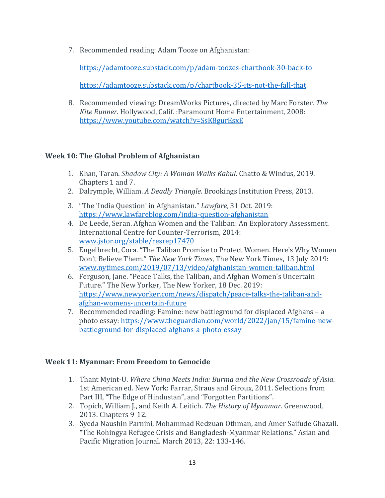7. Recommended reading: Adam Tooze on Afghanistan:

<https://adamtooze.substack.com/p/adam-toozes-chartbook-30-back-to>

<https://adamtooze.substack.com/p/chartbook-35-its-not-the-fall-that>

8. Recommended viewing: DreamWorks Pictures, directed by Marc Forster*. The Kite Runner.* Hollywood, Calif. :Paramount Home Entertainment, 2008: <https://www.youtube.com/watch?v=SsK8gurEsxE>

# **Week 10: The Global Problem of Afghanistan**

- 1. Khan, Taran. *Shadow City: A Woman Walks Kabul*. Chatto & Windus, 2019. Chapters 1 and 7.
- 2. Dalrymple, William. *A Deadly Triangle*. Brookings Institution Press, 2013.
- 3. "The 'India Question' in Afghanistan." *Lawfare*, 31 Oct. 2019: <https://www.lawfareblog.com/india-question-afghanistan>
- 4. De Leede, Seran. Afghan Women and the Taliban: An Exploratory Assessment. International Centre for Counter-Terrorism, 2014: [www.jstor.org/stable/resrep17470](http://www.jstor.org/stable/resrep17470)
- 5. Engelbrecht, Cora. "The Taliban Promise to Protect Women. Here's Why Women Don't Believe Them." *The New York Times*, The New York Times, 13 July 2019: [www.nytimes.com/2019/07/13/video/afghanistan-women-taliban.html](http://www.nytimes.com/2019/07/13/video/afghanistan-women-taliban.html)
- 6. Ferguson, Jane. "Peace Talks, the Taliban, and Afghan Women's Uncertain Future." The New Yorker, The New Yorker, 18 Dec. 2019: [https://www.newyorker.com/news/dispatch/peace-talks-the-taliban-and](https://www.newyorker.com/news/dispatch/peace-talks-the-taliban-and-afghan-womens-uncertain-future)[afghan-womens-uncertain-future](https://www.newyorker.com/news/dispatch/peace-talks-the-taliban-and-afghan-womens-uncertain-future)
- 7. Recommended reading: Famine: new battleground for displaced Afghans a photo essay[: https://www.theguardian.com/world/2022/jan/15/famine-new](https://www.theguardian.com/world/2022/jan/15/famine-new-battleground-for-displaced-afghans-a-photo-essay)[battleground-for-displaced-afghans-a-photo-essay](https://www.theguardian.com/world/2022/jan/15/famine-new-battleground-for-displaced-afghans-a-photo-essay)

#### **Week 11: Myanmar: From Freedom to Genocide**

- 1. Thant Myint-U. *Where China Meets India: Burma and the New Crossroads of Asia*. 1st American ed. New York: Farrar, Straus and Giroux, 2011. Selections from Part III, "The Edge of Hindustan", and "Forgotten Partitions".
- 2. Topich, William J., and Keith A. Leitich. *The History of Myanmar*. Greenwood, 2013. Chapters 9-12.
- 3. Syeda Naushin Parnini, Mohammad Redzuan Othman, and Amer Saifude Ghazali. "The Rohingya Refugee Crisis and Bangladesh-Myanmar Relations." Asian and Pacific Migration Journal. March 2013, 22: 133-146.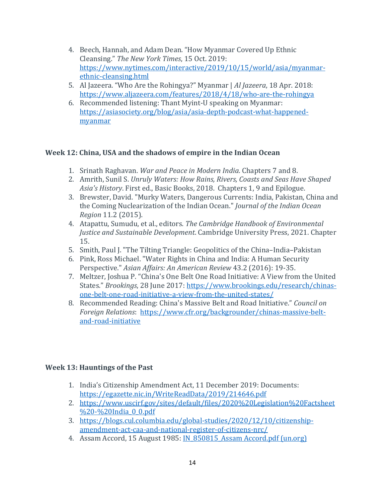- 4. Beech, Hannah, and Adam Dean. "How Myanmar Covered Up Ethnic Cleansing." *The New York Times*, 15 Oct. 2019: [https://www.nytimes.com/interactive/2019/10/15/world/asia/myanmar](https://www.nytimes.com/interactive/2019/10/15/world/asia/myanmar-ethnic-cleansing.html)[ethnic-cleansing.html](https://www.nytimes.com/interactive/2019/10/15/world/asia/myanmar-ethnic-cleansing.html)
- 5. Al Jazeera. "Who Are the Rohingya?" Myanmar | *Al Jazeera*, 18 Apr. 2018: <https://www.aljazeera.com/features/2018/4/18/who-are-the-rohingya>
- 6. Recommended listening: Thant Myint-U speaking on Myanmar: [https://asiasociety.org/blog/asia/asia-depth-podcast-what-happened](https://asiasociety.org/blog/asia/asia-depth-podcast-what-happened-myanmar)[myanmar](https://asiasociety.org/blog/asia/asia-depth-podcast-what-happened-myanmar)

#### **Week 12: China, USA and the shadows of empire in the Indian Ocean**

- 1. Srinath Raghavan. *War and Peace in Modern India.* Chapters 7 and 8.
- 2. Amrith, Sunil S. *Unruly Waters: How Rains, Rivers, Coasts and Seas Have Shaped Asia's History*. First ed., Basic Books, 2018. Chapters 1, 9 and Epilogue.
- 3. Brewster, David. "Murky Waters, Dangerous Currents: India, Pakistan, China and the Coming Nuclearization of the Indian Ocean." *Journal of the Indian Ocean Region* 11.2 (2015).
- 4. Atapattu, Sumudu, et al., editors. *The Cambridge Handbook of Environmental Justice and Sustainable Development*. Cambridge University Press, 2021. Chapter 15.
- 5. Smith, Paul J. "The Tilting Triangle: Geopolitics of the China–India–Pakistan
- 6. Pink, Ross Michael. "Water Rights in China and India: A Human Security Perspective." *Asian Affairs: An American Review* 43.2 (2016): 19-35.
- 7. Meltzer, Joshua P. "China's One Belt One Road Initiative: A View from the United States." *Brookings*, 28 June 2017: [https://www.brookings.edu/research/chinas](https://www.brookings.edu/research/chinas-one-belt-one-road-initiative-a-view-from-the-united-states/)[one-belt-one-road-initiative-a-view-from-the-united-states/](https://www.brookings.edu/research/chinas-one-belt-one-road-initiative-a-view-from-the-united-states/)
- 8. Recommended Reading: China's Massive Belt and Road Initiative." *Council on Foreign Relations*: [https://www.cfr.org/backgrounder/chinas-massive-belt](https://www.cfr.org/backgrounder/chinas-massive-belt-and-road-initiative)[and-road-initiative](https://www.cfr.org/backgrounder/chinas-massive-belt-and-road-initiative)

#### **Week 13: Hauntings of the Past**

- 1. India's Citizenship Amendment Act, 11 December 2019: Documents: <https://egazette.nic.in/WriteReadData/2019/214646.pdf>
- 2. [https://www.uscirf.gov/sites/default/files/2020%20Legislation%20Factsheet](https://www.uscirf.gov/sites/default/files/2020%20Legislation%20Factsheet%20-%20India_0_0.pdf) %20-%20India 0 0.pdf
- 3. [https://blogs.cul.columbia.edu/global-studies/2020/12/10/citizenship](https://blogs.cul.columbia.edu/global-studies/2020/12/10/citizenship-amendment-act-caa-and-national-register-of-citizens-nrc/)[amendment-act-caa-and-national-register-of-citizens-nrc/](https://blogs.cul.columbia.edu/global-studies/2020/12/10/citizenship-amendment-act-caa-and-national-register-of-citizens-nrc/)
- 4. Assam Accord, 15 August 1985: IN 850815 Assam Accord.pdf (un.org)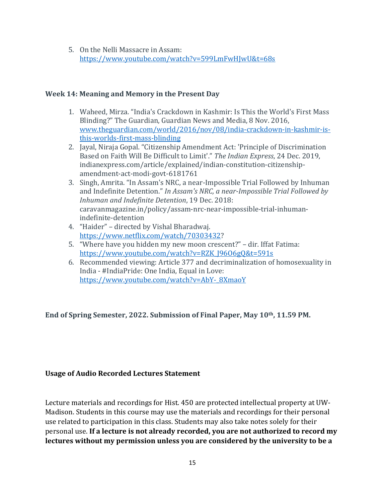5. On the Nelli Massacre in Assam: <https://www.youtube.com/watch?v=599LmFwHJwU&t=68s>

#### **Week 14: Meaning and Memory in the Present Day**

- 1. Waheed, Mirza. "India's Crackdown in Kashmir: Is This the World's First Mass Blinding?" The Guardian, Guardian News and Media, 8 Nov. 2016, [www.theguardian.com/world/2016/nov/08/india-crackdown-in-kashmir-is](http://www.theguardian.com/world/2016/nov/08/india-crackdown-in-kashmir-is-this-worlds-first-mass-blinding)[this-worlds-first-mass-blinding](http://www.theguardian.com/world/2016/nov/08/india-crackdown-in-kashmir-is-this-worlds-first-mass-blinding)
- 2. Jayal, Niraja Gopal. "Citizenship Amendment Act: 'Principle of Discrimination Based on Faith Will Be Difficult to Limit'." *The Indian Express*, 24 Dec. 2019, indianexpress.com/article/explained/indian-constitution-citizenshipamendment-act-modi-govt-6181761
- 3. Singh, Amrita. "In Assam's NRC, a near-Impossible Trial Followed by Inhuman and Indefinite Detention." *In Assam's NRC, a near-Impossible Trial Followed by Inhuman and Indefinite Detention*, 19 Dec. 2018: caravanmagazine.in/policy/assam-nrc-near-impossible-trial-inhumanindefinite-detention
- 4. "Haider" directed by Vishal Bharadwaj. [https://www.netflix.com/watch/70303432?](https://www.netflix.com/watch/70303432)
- 5. "Where have you hidden my new moon crescent?" dir. Iffat Fatima: [https://www.youtube.com/watch?v=RZK\\_J96O6gQ&t=591s](https://www.youtube.com/watch?v=RZK_J96O6gQ&t=591s)
- 6. Recommended viewing: Article 377 and decriminalization of homosexuality in India - #IndiaPride: One India, Equal in Love: [https://www.youtube.com/watch?v=AbY-\\_8XmaoY](https://www.youtube.com/watch?v=AbY-_8XmaoY)

**End of Spring Semester, 2022. Submission of Final Paper, May 10th, 11.59 PM.**

#### **Usage of Audio Recorded Lectures Statement**

Lecture materials and recordings for Hist. 450 are protected intellectual property at UW-Madison. Students in this course may use the materials and recordings for their personal use related to participation in this class. Students may also take notes solely for their personal use. **If a lecture is not already recorded, you are not authorized to record my lectures without my permission unless you are considered by the university to be a**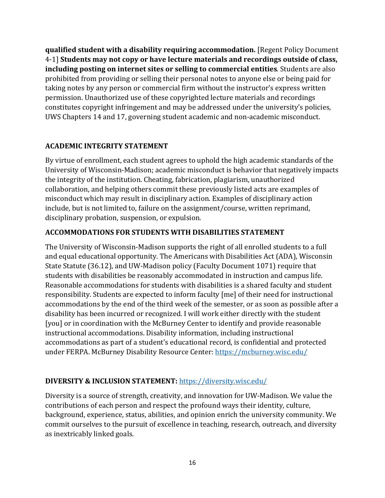**qualified student with a disability requiring accommodation.** [Regent Policy Document 4-1] **Students may not copy or have lecture materials and recordings outside of class, including posting on internet sites or selling to commercial entities**. Students are also prohibited from providing or selling their personal notes to anyone else or being paid for taking notes by any person or commercial firm without the instructor's express written permission. Unauthorized use of these copyrighted lecture materials and recordings constitutes copyright infringement and may be addressed under the university's policies, UWS Chapters 14 and 17, governing student academic and non-academic misconduct.

# **ACADEMIC INTEGRITY STATEMENT**

By virtue of enrollment, each student agrees to uphold the high academic standards of the University of Wisconsin-Madison; academic misconduct is behavior that negatively impacts the integrity of the institution. Cheating, fabrication, plagiarism, unauthorized collaboration, and helping others commit these previously listed acts are examples of misconduct which may result in disciplinary action. Examples of disciplinary action include, but is not limited to, failure on the assignment/course, written reprimand, disciplinary probation, suspension, or expulsion.

#### **ACCOMMODATIONS FOR STUDENTS WITH DISABILITIES STATEMENT**

The University of Wisconsin-Madison supports the right of all enrolled students to a full and equal educational opportunity. The Americans with Disabilities Act (ADA), Wisconsin State Statute (36.12), and UW-Madison policy (Faculty Document 1071) require that students with disabilities be reasonably accommodated in instruction and campus life. Reasonable accommodations for students with disabilities is a shared faculty and student responsibility. Students are expected to inform faculty [me] of their need for instructional accommodations by the end of the third week of the semester, or as soon as possible after a disability has been incurred or recognized. I will work either directly with the student [you] or in coordination with the McBurney Center to identify and provide reasonable instructional accommodations. Disability information, including instructional accommodations as part of a student's educational record, is confidential and protected under FERPA. McBurney Disability Resource Center[: https://mcburney.wisc.edu/](https://mcburney.wisc.edu/)

#### **DIVERSITY & INCLUSION STATEMENT:** <https://diversity.wisc.edu/>

Diversity is a source of strength, creativity, and innovation for UW-Madison. We value the contributions of each person and respect the profound ways their identity, culture, background, experience, status, abilities, and opinion enrich the university community. We commit ourselves to the pursuit of excellence in teaching, research, outreach, and diversity as inextricably linked goals.